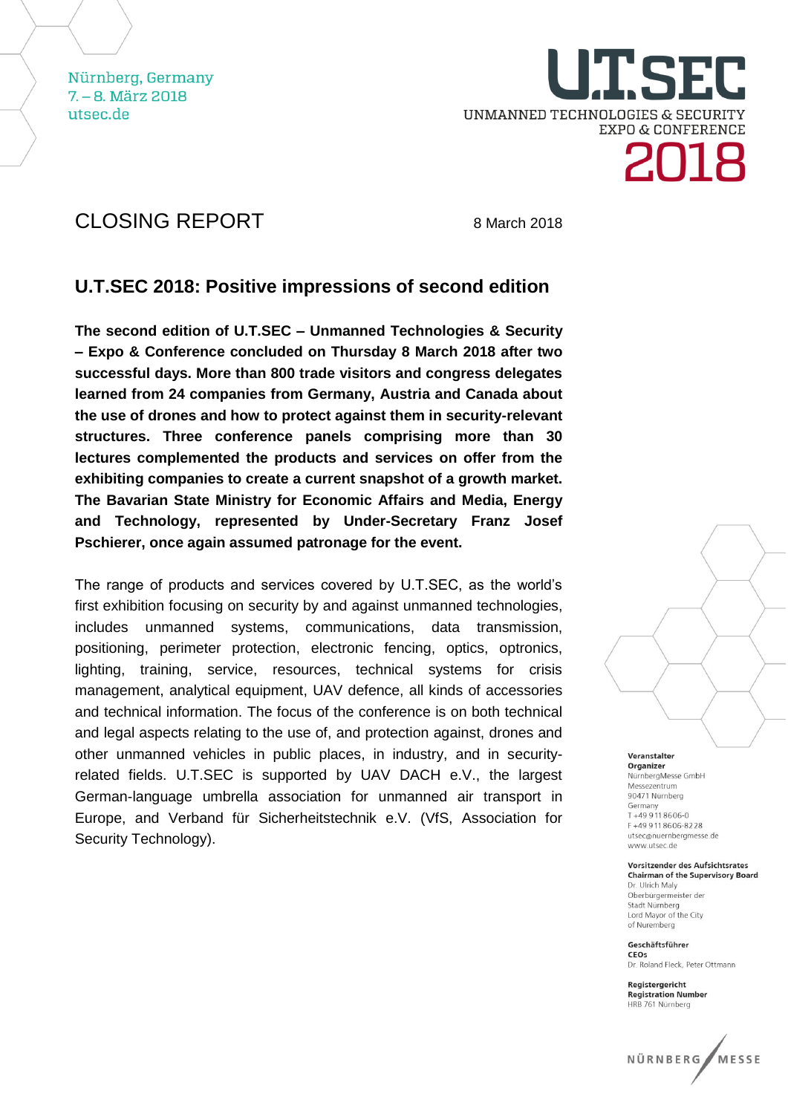Nürnberg, Germany  $7 - 8$ , März 2018 utsec.de

UNMANNED TECHNOLOGIES & SECURITY **EXPO & CONFERENCE** 

## CLOSING REPORT 8 March 2018

### **U.T.SEC 2018: Positive impressions of second edition**

**The second edition of U.T.SEC – Unmanned Technologies & Security – Expo & Conference concluded on Thursday 8 March 2018 after two successful days. More than 800 trade visitors and congress delegates learned from 24 companies from Germany, Austria and Canada about the use of drones and how to protect against them in security-relevant structures. Three conference panels comprising more than 30 lectures complemented the products and services on offer from the exhibiting companies to create a current snapshot of a growth market. The Bavarian State Ministry for Economic Affairs and Media, Energy and Technology, represented by Under-Secretary Franz Josef Pschierer, once again assumed patronage for the event.**

The range of products and services covered by U.T.SEC, as the world's first exhibition focusing on security by and against unmanned technologies, includes unmanned systems, communications, data transmission, positioning, perimeter protection, electronic fencing, optics, optronics, lighting, training, service, resources, technical systems for crisis management, analytical equipment, UAV defence, all kinds of accessories and technical information. The focus of the conference is on both technical and legal aspects relating to the use of, and protection against, drones and other unmanned vehicles in public places, in industry, and in securityrelated fields. U.T.SEC is supported by UAV DACH e.V., the largest German-language umbrella association for unmanned air transport in Europe, and Verband für Sicherheitstechnik e.V. (VfS, Association for Security Technology).



Veranstalter Organizer NürnbergMesse GmbH Messezentrum 90471 Nürnberg Germany<br>T +49 9 11 8606-0  $F + 499118606 - 8228$ utsec@nuernbergmesse.de www.utsec.de

Vorsitzender des Aufsichtsrates **Chairman of the Supervisory Board** Dr. Ulrich Malv Oberbürgermeister der Stadt Nürnberg

Lord Mayor of the City of Nuremberg Geschäftsführer

CEOS Dr. Roland Fleck, Peter Ottmann

Registergericht Registergenent<br>Registration Number HRB 761 Nürnberg